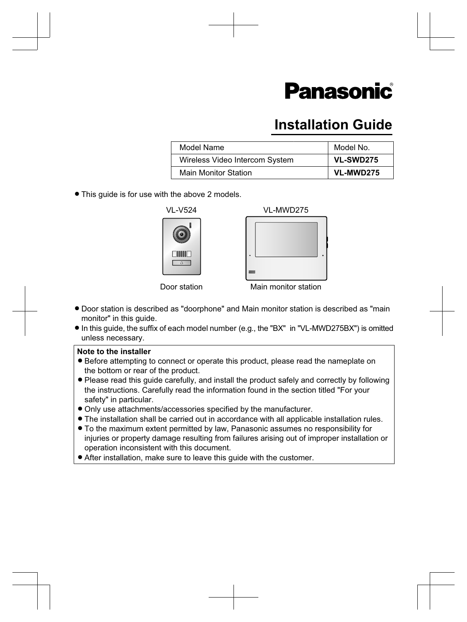# **Panasonic**

# **Installation Guide**

| Model Name                     | Model No.        |
|--------------------------------|------------------|
| Wireless Video Intercom System | <b>VL-SWD275</b> |
| <b>Main Monitor Station</b>    | VL-MWD275        |

• This guide is for use with the above 2 models.





Door station Main monitor station

- Door station is described as "doorphone" and Main monitor station is described as "main monitor" in this guide.
- R In this guide, the suffix of each model number (e.g., the "BX" in "VL-MWD275BX") is omitted unless necessary.

#### **Note to the installer**

- Before attempting to connect or operate this product, please read the nameplate on the bottom or rear of the product.
- Please read this guide carefully, and install the product safely and correctly by following the instructions. Carefully read the information found in the section titled "For your safety" in particular.
- $\bullet$  Only use attachments/accessories specified by the manufacturer.
- The installation shall be carried out in accordance with all applicable installation rules.
- $\bullet$  To the maximum extent permitted by law, Panasonic assumes no responsibility for injuries or property damage resulting from failures arising out of improper installation or operation inconsistent with this document.
- After installation, make sure to leave this guide with the customer.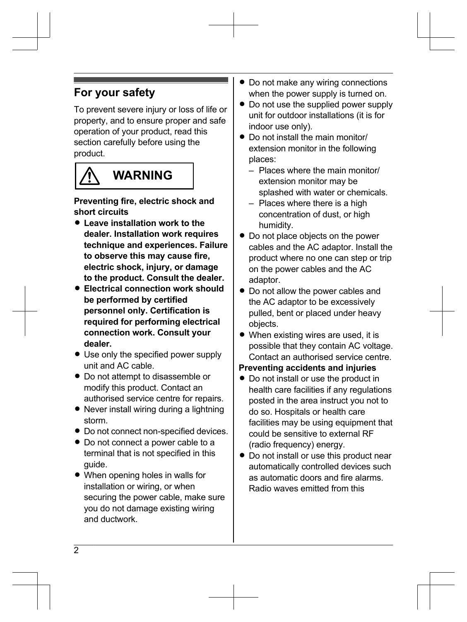# **For your safety**

To prevent severe injury or loss of life or property, and to ensure proper and safe operation of your product, read this section carefully before using the product.



# **WARNING**

**Preventing fire, electric shock and short circuits**

- **Leave installation work to the dealer. Installation work requires technique and experiences. Failure to observe this may cause fire, electric shock, injury, or damage to the product. Consult the dealer.**
- **Electrical connection work should be performed by certified personnel only. Certification is required for performing electrical connection work. Consult your dealer.**
- Use only the specified power supply unit and AC cable.
- Do not attempt to disassemble or modify this product. Contact an authorised service centre for repairs.
- Never install wiring during a lightning storm.
- $\bullet$  Do not connect non-specified devices.
- Do not connect a power cable to a terminal that is not specified in this guide.
- $\bullet$  When opening holes in walls for installation or wiring, or when securing the power cable, make sure you do not damage existing wiring and ductwork.
- Do not make any wiring connections when the power supply is turned on.
- Do not use the supplied power supply unit for outdoor installations (it is for indoor use only).
- Do not install the main monitor/ extension monitor in the following places:
	- Places where the main monitor/ extension monitor may be splashed with water or chemicals.
	- Places where there is a high concentration of dust, or high humidity.
- Do not place objects on the power cables and the AC adaptor. Install the product where no one can step or trip on the power cables and the AC adaptor.
- Do not allow the power cables and the AC adaptor to be excessively pulled, bent or placed under heavy objects.
- $\bullet$  When existing wires are used, it is possible that they contain AC voltage. Contact an authorised service centre.

### **Preventing accidents and injuries**

- Do not install or use the product in health care facilities if any regulations posted in the area instruct you not to do so. Hospitals or health care facilities may be using equipment that could be sensitive to external RF (radio frequency) energy.
- Do not install or use this product near automatically controlled devices such as automatic doors and fire alarms. Radio waves emitted from this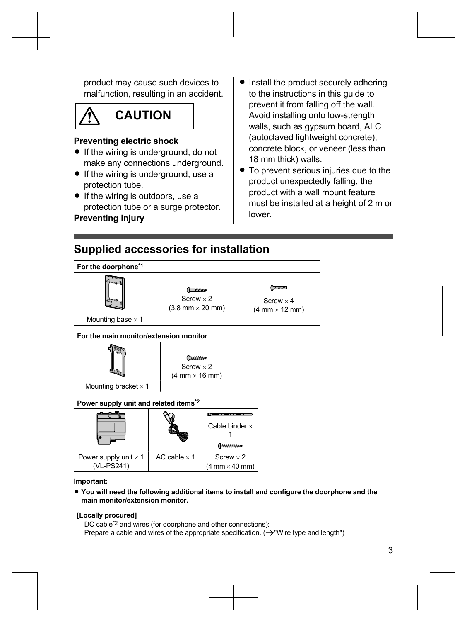product may cause such devices to malfunction, resulting in an accident.

# **CAUTION**

### **Preventing electric shock**

- $\bullet$  If the wiring is underground, do not make any connections underground.
- $\bullet$  If the wiring is underground, use a protection tube.
- $\bullet$  If the wiring is outdoors, use a protection tube or a surge protector.

### **Preventing injury**

- Install the product securely adhering to the instructions in this guide to prevent it from falling off the wall. Avoid installing onto low-strength walls, such as gypsum board, ALC (autoclaved lightweight concrete), concrete block, or veneer (less than 18 mm thick) walls.
- $\bullet$  To prevent serious injuries due to the product unexpectedly falling, the product with a wall mount feature must be installed at a height of 2 m or lower.

# **Supplied accessories for installation**



#### **Important:**

R **You will need the following additional items to install and configure the doorphone and the main monitor/extension monitor.**

### **[Locally procured]**

– DC cable[\\*2](#page-3-1) and wires (for doorphone and other connections): Prepare a cable and wires of the appropriate specification.  $(\rightarrow$  "Wire type and length")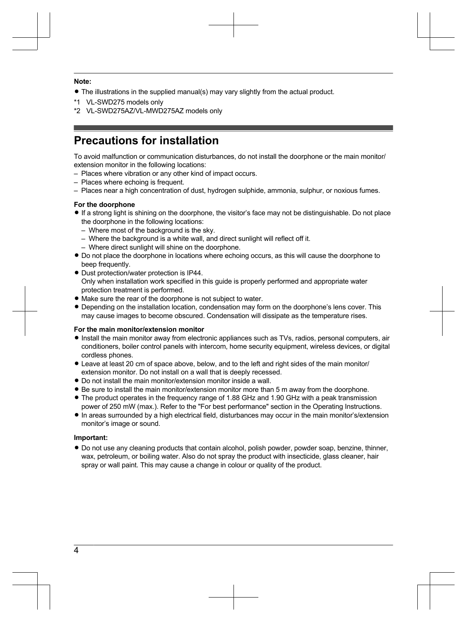#### **Note:**

• The illustrations in the supplied manual(s) may vary slightly from the actual product.

- <span id="page-3-0"></span>\*1 VL-SWD275 models only
- <span id="page-3-1"></span>\*2 VL-SWD275AZ/VL-MWD275AZ models only

# **Precautions for installation**

To avoid malfunction or communication disturbances, do not install the doorphone or the main monitor/ extension monitor in the following locations:

- Places where vibration or any other kind of impact occurs.
- Places where echoing is frequent.
- Places near a high concentration of dust, hydrogen sulphide, ammonia, sulphur, or noxious fumes.

#### **For the doorphone**

- R If a strong light is shining on the doorphone, the visitor's face may not be distinguishable. Do not place the doorphone in the following locations:
	- Where most of the background is the sky.
	- Where the background is a white wall, and direct sunlight will reflect off it.
	- Where direct sunlight will shine on the doorphone.
- $\bullet$  Do not place the doorphone in locations where echoing occurs, as this will cause the doorphone to beep frequently.
- Dust protection/water protection is IP44. Only when installation work specified in this guide is properly performed and appropriate water protection treatment is performed.
- Make sure the rear of the doorphone is not subject to water.
- Depending on the installation location, condensation may form on the doorphone's lens cover. This may cause images to become obscured. Condensation will dissipate as the temperature rises.

#### **For the main monitor/extension monitor**

- Install the main monitor away from electronic appliances such as TVs, radios, personal computers, air conditioners, boiler control panels with intercom, home security equipment, wireless devices, or digital cordless phones.
- $\bullet$  Leave at least 20 cm of space above, below, and to the left and right sides of the main monitor/ extension monitor. Do not install on a wall that is deeply recessed.
- $\bullet$  Do not install the main monitor/extension monitor inside a wall.
- Be sure to install the main monitor/extension monitor more than 5 m away from the doorphone.
- The product operates in the frequency range of 1.88 GHz and 1.90 GHz with a peak transmission power of 250 mW (max.). Refer to the "For best performance" section in the Operating Instructions.
- In areas surrounded by a high electrical field, disturbances may occur in the main monitor's/extension monitor's image or sound.

#### **Important:**

 $\bullet$  Do not use any cleaning products that contain alcohol, polish powder, powder soap, benzine, thinner, wax, petroleum, or boiling water. Also do not spray the product with insecticide, glass cleaner, hair spray or wall paint. This may cause a change in colour or quality of the product.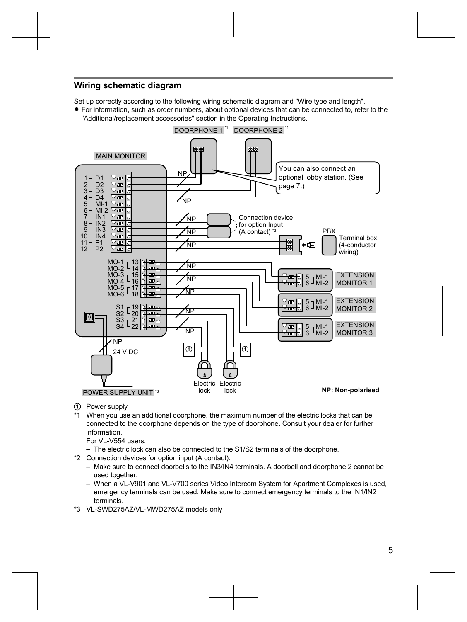### **Wiring schematic diagram**

Set up correctly according to the following wiring schematic diagram and "Wire type and length".

• For information, such as order numbers, about optional devices that can be connected to, refer to the "Additional/replacement accessories" section in the Operating Instructions.



- Power supply
- \*1 When you use an additional doorphone, the maximum number of the electric locks that can be connected to the doorphone depends on the type of doorphone. Consult your dealer for further information.
	- For VI -V554 users:
	- The electric lock can also be connected to the S1/S2 terminals of the doorphone.
- \*2 Connection devices for option input (A contact).
	- Make sure to connect doorbells to the IN3/IN4 terminals. A doorbell and doorphone 2 cannot be used together.
	- When a VL-V901 and VL-V700 series Video Intercom System for Apartment Complexes is used, emergency terminals can be used. Make sure to connect emergency terminals to the IN1/IN2 terminals.
- \*3 VL-SWD275AZ/VL-MWD275AZ models only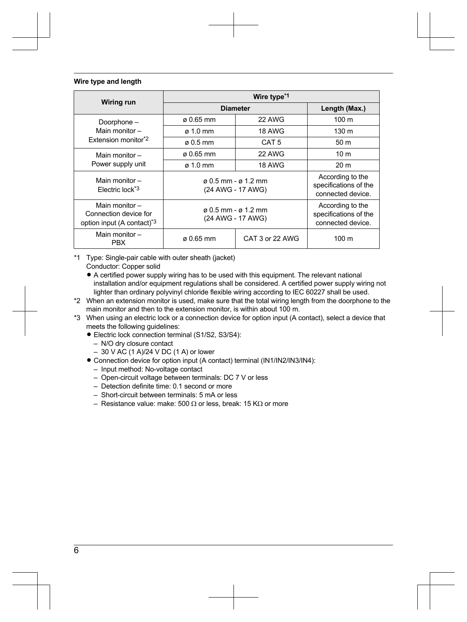#### **Wire type and length**

|                                                                                  | Wire type <sup>*1</sup>                                |                  |                                                                |
|----------------------------------------------------------------------------------|--------------------------------------------------------|------------------|----------------------------------------------------------------|
| Wiring run                                                                       | <b>Diameter</b>                                        |                  | Length (Max.)                                                  |
| Doorphone -<br>Main monitor-<br>Extension monitor <sup>*2</sup>                  | $\alpha$ 0.65 mm                                       | 22 AWG           | 100 <sub>m</sub>                                               |
|                                                                                  | $\sigma$ 1.0 mm                                        | <b>18 AWG</b>    | 130 <sub>m</sub>                                               |
|                                                                                  | $\sigma$ 0.5 mm                                        | CAT <sub>5</sub> | 50 m                                                           |
| Main monitor $-$<br>Power supply unit                                            | $\alpha$ 0.65 mm                                       | 22 AWG           | 10 <sub>m</sub>                                                |
|                                                                                  | $\sigma$ 1.0 mm                                        | <b>18 AWG</b>    | 20 <sub>m</sub>                                                |
| Main monitor $-$<br>Flectric lock <sup>*3</sup>                                  | $\alpha$ 0.5 mm - $\alpha$ 1.2 mm<br>(24 AWG - 17 AWG) |                  | According to the<br>specifications of the<br>connected device. |
| Main monitor-<br>Connection device for<br>option input (A contact) <sup>*3</sup> | $\alpha$ 0.5 mm - $\alpha$ 1.2 mm<br>(24 AWG - 17 AWG) |                  | According to the<br>specifications of the<br>connected device. |
| Main monitor-<br><b>PBX</b>                                                      | $\alpha$ 0.65 mm                                       | CAT 3 or 22 AWG  | 100 <sub>m</sub>                                               |

- <span id="page-5-0"></span>\*1 Type: Single-pair cable with outer sheath (jacket)
	- Conductor: Copper solid
	- A certified power supply wiring has to be used with this equipment. The relevant national installation and/or equipment regulations shall be considered. A certified power supply wiring not lighter than ordinary polyvinyl chloride flexible wiring according to IEC 60227 shall be used.
- <span id="page-5-1"></span>\*2 When an extension monitor is used, make sure that the total wiring length from the doorphone to the main monitor and then to the extension monitor, is within about 100 m.
- <span id="page-5-2"></span>\*3 When using an electric lock or a connection device for option input (A contact), select a device that meets the following quidelines:
	- Electric lock connection terminal (S1/S2, S3/S4):
		- N/O dry closure contact
		- 30 V AC (1 A)/24 V DC (1 A) or lower
	- Connection device for option input (A contact) terminal (IN1/IN2/IN3/IN4):
		- Input method: No-voltage contact
		- Open-circuit voltage between terminals: DC 7 V or less
		- Detection definite time: 0.1 second or more
		- Short-circuit between terminals: 5 mA or less
		- Resistance value: make: 500  $\Omega$  or less, break: 15 K $\Omega$  or more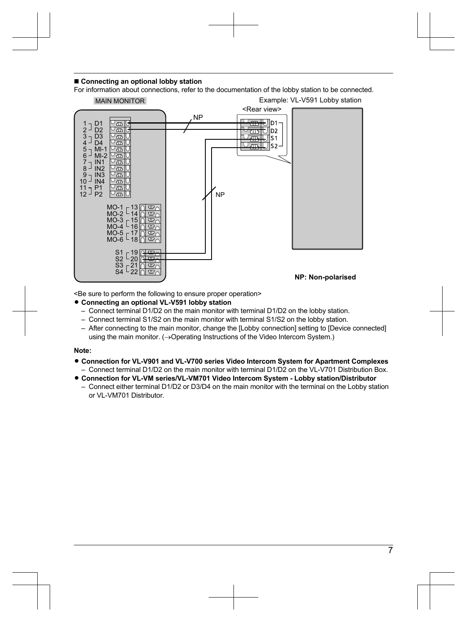#### ■ Connecting an optional lobby station

For information about connections, refer to the documentation of the lobby station to be connected.



<Be sure to perform the following to ensure proper operation>

#### **• Connecting an optional VL-V591 lobby station**

- Connect terminal D1/D2 on the main monitor with terminal D1/D2 on the lobby station.
- Connect terminal S1/S2 on the main monitor with terminal S1/S2 on the lobby station.
- After connecting to the main monitor, change the [Lobby connection] setting to [Device connected] using the main monitor.  $(\rightarrow$ Operating Instructions of the Video Intercom System.)

#### **Note:**

- R **Connection for VL-V901 and VL-V700 series Video Intercom System for Apartment Complexes**
	- Connect terminal D1/D2 on the main monitor with terminal D1/D2 on the VL-V701 Distribution Box.
- R **Connection for VL-VM series/VL-VM701 Video Intercom System Lobby station/Distributor** – Connect either terminal D1/D2 or D3/D4 on the main monitor with the terminal on the Lobby station or VL-VM701 Distributor.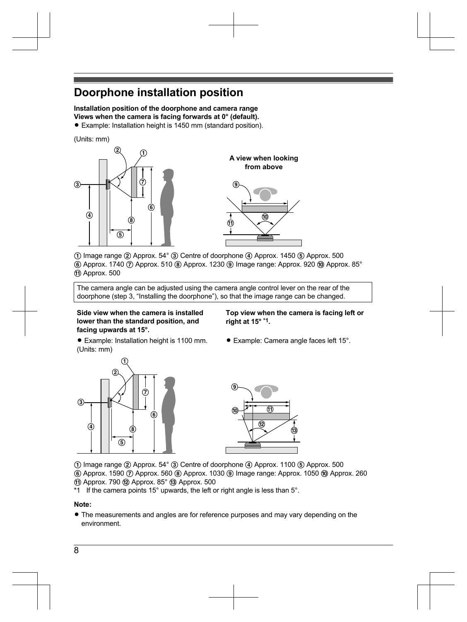# **Doorphone installation position**

**Installation position of the doorphone and camera range Views when the camera is facing forwards at 0° (default).**

• Example: Installation height is 1450 mm (standard position).

(Units: mm)





 $\Omega$  Image range  $\Omega$  Approx. 54°  $\Omega$  Centre of doorphone  $\Omega$  Approx. 1450  $\Omega$  Approx. 500  $F(6)$  Approx. 1740  $T(7)$  Approx. 510  $(8)$  Approx. 1230  $(9)$  Image range: Approx. 920  $(10)$  Approx. 85° ff) Approx. 500

The camera angle can be adjusted using the camera angle control lever on the rear of the doorphone (step [3,](#page-8-0) "[Installing the doorphone](#page-8-1)"), so that the image range can be changed.

#### **Side view when the camera is installed lower than the standard position, and facing upwards at 15°.**

**Top view when the camera is facing left or right at 15° [\\*1](#page-7-0).**

- Example: Installation height is 1100 mm. (Units: mm)
- Example: Camera angle faces left 15°.





 $\Omega$  Image range  $\Omega$  Approx. 54°  $\Omega$  Centre of doorphone  $\Omega$  Approx. 1100  $\Omega$  Approx. 500

 $\overline{6}$  Approx. 1590  $\overline{7}$  Approx. 560  $\overline{8}$  Approx. 1030  $\overline{9}$  Image range: Approx. 1050  $\overline{10}$  Approx. 260  $(n)$  Approx. 790  $(n)$  Approx. 85 $^{\circ}$   $(n)$  Approx. 500

<span id="page-7-0"></span>\*1 If the camera points 15° upwards, the left or right angle is less than 5°.

### **Note:**

• The measurements and angles are for reference purposes and may vary depending on the environment.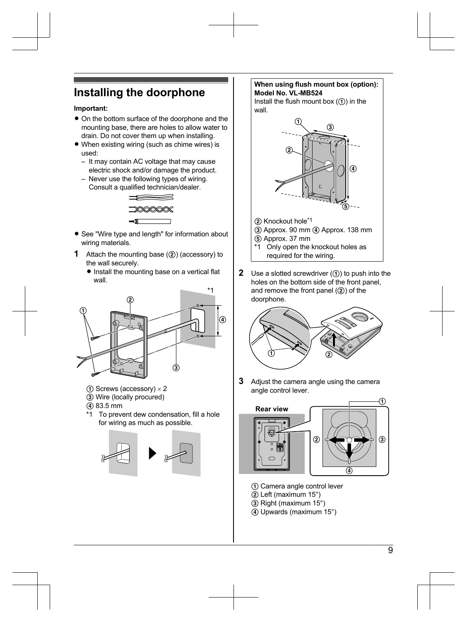# <span id="page-8-1"></span>**Installing the doorphone**

#### **Important:**

- On the bottom surface of the doorphone and the mounting base, there are holes to allow water to drain. Do not cover them up when installing.
- $\bullet$  When existing wiring (such as chime wires) is used:
	- It may contain AC voltage that may cause electric shock and/or damage the product.
	- Never use the following types of wiring. Consult a qualified technician/dealer.



- See "Wire type and length" for information about wiring materials.
- **1** Attach the mounting base  $(2)$  (accessory) to the wall securely.
	- $\bullet$  Install the mounting base on a vertical flat wall.



- $\Omega$  Screws (accessory)  $\times$  2
- C Wire (locally procured)
- $(4)$  83.5 mm
- \*1 To prevent dew condensation, fill a hole for wiring as much as possible.



#### **When using flush mount box (option): Model No. VL-MB524**

Install the flush mount box  $(1)$  in the wall



- (2) Knockout hole[\\*1](#page-8-2)
- (3) Approx. 90 mm (4) Approx. 138 mm
- E Approx. 37 mm
- <span id="page-8-2"></span>\*1 Only open the knockout holes as required for the wiring.
- **2** Use a slotted screwdriver  $(1)$  to push into the holes on the bottom side of the front panel, and remove the front panel  $(2)$  of the doorphone.



<span id="page-8-0"></span>**3** Adjust the camera angle using the camera angle control lever.



- A Camera angle control lever
- $(2)$  Left (maximum 15°)
- C Right (maximum 15°)
- $\overline{a}$ ) Upwards (maximum 15°)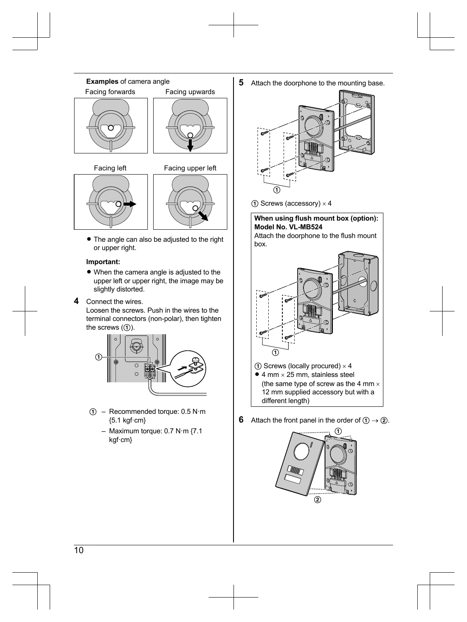





• The angle can also be adjusted to the right or upper right.

#### **Important:**

- $\bullet$  When the camera angle is adjusted to the upper left or upper right, the image may be slightly distorted.
- **4** Connect the wires.

Loosen the screws. Push in the wires to the terminal connectors (non-polar), then tighten the screws  $(1)$ .



- $\textcircled{1}$  Recommended torque: 0.5 N·m {5.1 kgf·cm}
	- Maximum torque: 0.7 N·m {7.1 kgf·cm}

**5** Attach the doorphone to the mounting base.



 $\Omega$  Screws (accessory)  $\times$  4

**When using flush mount box (option): Model No. VL-MB524** Attach the doorphone to the flush mount



 $\Omega$  Screws (locally procured)  $\times$  4

 $\bullet$  4 mm  $\times$  25 mm, stainless steel (the same type of screw as the 4 mm  $\times$ 12 mm supplied accessory but with a different length)

**6** Attach the front panel in the order of  $\textcircled{1} \rightarrow \textcircled{2}$ .

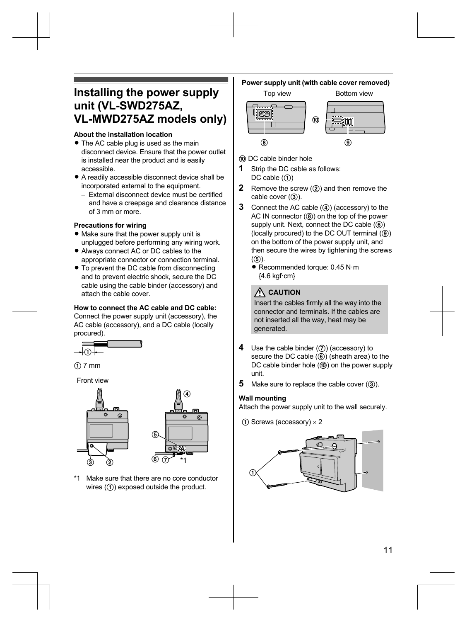## **Installing the power supply unit (VL-SWD275AZ, VL-MWD275AZ models only)**

#### **About the installation location**

- The AC cable plug is used as the main disconnect device. Ensure that the power outlet is installed near the product and is easily accessible.
- $\bullet$  A readily accessible disconnect device shall be incorporated external to the equipment.
	- External disconnect device must be certified and have a creepage and clearance distance of 3 mm or more.

#### **Precautions for wiring**

- $\bullet$  Make sure that the power supply unit is unplugged before performing any wiring work.
- Always connect AC or DC cables to the appropriate connector or connection terminal.
- To prevent the DC cable from disconnecting and to prevent electric shock, secure the DC cable using the cable binder (accessory) and attach the cable cover.

#### **How to connect the AC cable and DC cable:**

Connect the power supply unit (accessory), the AC cable (accessory), and a DC cable (locally procured).





Front view



Make sure that there are no core conductor wires  $(1)$  exposed outside the product.

### **Power supply unit (with cable cover removed)**





- (iii) DC cable binder hole
- **1** Strip the DC cable as follows:  $DC$  cable  $(1)$
- **2** Remove the screw (2) and then remove the cable cover  $(3)$ ).
- **3** Connect the AC cable (4) (accessory) to the AC IN connector  $(@)$  on the top of the power supply unit. Next, connect the DC cable  $(6)$ (locally procured) to the DC OUT terminal  $(9)$ ) on the bottom of the power supply unit, and then secure the wires by tightening the screws  $(G)$ ).
	- Recommended torque: 0.45 N·m {4.6 kgf·cm}

### **CAUTION**

Insert the cables firmly all the way into the connector and terminals. If the cables are not inserted all the way, heat may be generated.

- **4** Use the cable binder ( $\circled{?}$ ) (accessory) to secure the DC cable  $(6)$  (sheath area) to the DC cable binder hole  $(0)$  on the power supply unit.
- **5** Make sure to replace the cable cover (3).

#### **Wall mounting**

Attach the power supply unit to the wall securely.

 $(1)$  Screws (accessory)  $\times$  2

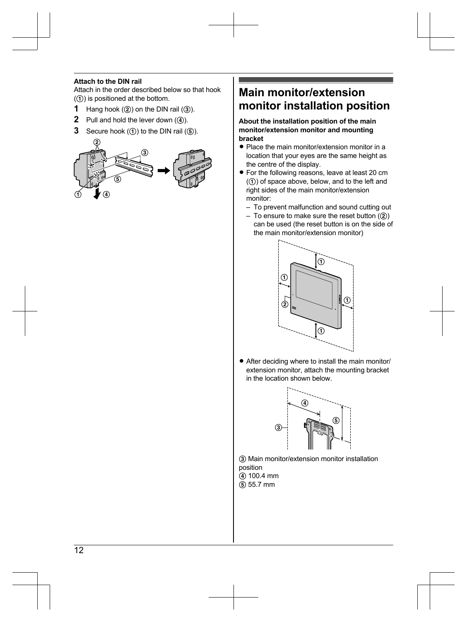#### **Attach to the DIN rail**

Attach in the order described below so that hook  $($  $($  $)$ ) is positioned at the bottom.

- **1** Hang hook  $(2)$  on the DIN rail  $(3)$ .
- **2** Pull and hold the lever down  $(\mathbf{\Phi})$ .
- **3** Secure hook  $(0)$  to the DIN rail  $(0)$ .



## **Main monitor/extension monitor installation position**

#### **About the installation position of the main monitor/extension monitor and mounting bracket**

- Place the main monitor/extension monitor in a location that your eyes are the same height as the centre of the display.
- For the following reasons, leave at least 20 cm  $(1)$  of space above, below, and to the left and right sides of the main monitor/extension monitor:
	- To prevent malfunction and sound cutting out
	- $-$  To ensure to make sure the reset button  $(2)$ can be used (the reset button is on the side of the main monitor/extension monitor)



• After deciding where to install the main monitor/ extension monitor, attach the mounting bracket in the location shown below.



(3) Main monitor/extension monitor installation position D 100.4 mm  $(5)$  55.7 mm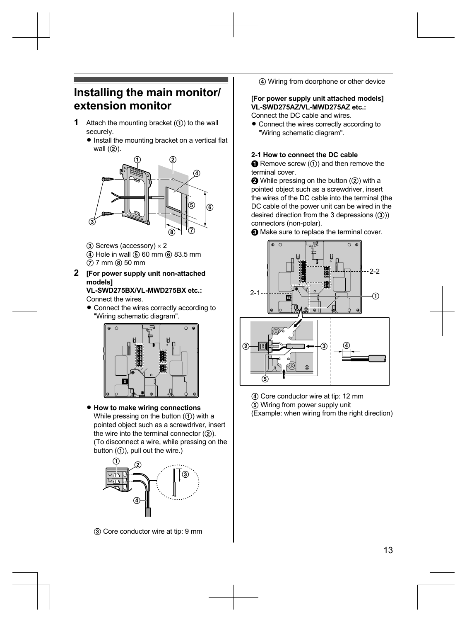## **Installing the main monitor/ extension monitor**

- **1** Attach the mounting bracket  $($  $)$  to the wall securely.
	- $\bullet$  Install the mounting bracket on a vertical flat wall  $(2)$ ).



- $(3)$  Screws (accessory)  $\times$  2
- (4) Hole in wall (5) 60 mm (6) 83.5 mm
- $Q$  7 mm  $\circledS$  50 mm

#### **2 [For power supply unit non-attached models]**

**VL-SWD275BX/VL-MWD275BX etc.:** Connect the wires.

• Connect the wires correctly according to "Wiring schematic diagram".



#### $\bullet$  **How to make wiring connections** While pressing on the button  $(1)$  with a pointed object such as a screwdriver, insert the wire into the terminal connector  $(Q)$ ). (To disconnect a wire, while pressing on the button  $(1)$ , pull out the wire.)



(4) Wiring from doorphone or other device

#### **[For power supply unit attached models] VL-SWD275AZ/VL-MWD275AZ etc.:**

Connect the DC cable and wires.

• Connect the wires correctly according to "Wiring schematic diagram".

#### **2-1 How to connect the DC cable**

 $\bigodot$  Remove screw  $(1)$  and then remove the terminal cover.

 $\bigcirc$  While pressing on the button  $(2)$ ) with a pointed object such as a screwdriver, insert the wires of the DC cable into the terminal (the DC cable of the power unit can be wired in the desired direction from the 3 depressions  $(3)$ ) connectors (non-polar).



 $\bigodot$  Make sure to replace the terminal cover.



- D Core conductor wire at tip: 12 mm
- E Wiring from power supply unit

(Example: when wiring from the right direction)

C Core conductor wire at tip: 9 mm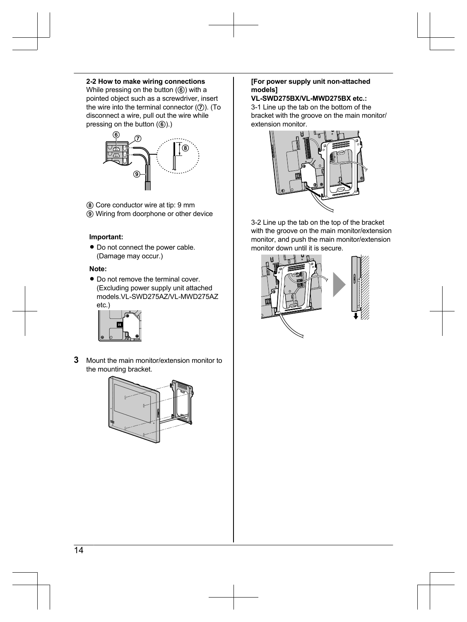#### **2-2 How to make wiring connections**

While pressing on the button  $(6)$ ) with a pointed object such as a screwdriver, insert the wire into the terminal connector  $(2)$ ). (To disconnect a wire, pull out the wire while pressing on the button  $(6)$ .)



- **(8)** Core conductor wire at tip: 9 mm
- **9)** Wiring from doorphone or other device

#### **Important:**

 $\bullet$  Do not connect the power cable. (Damage may occur.)

#### **Note:**

• Do not remove the terminal cover. (Excluding power supply unit attached models.VL-SWD275AZ/VL-MWD275AZ etc.)



**3** Mount the main monitor/extension monitor to the mounting bracket.



#### **[For power supply unit non-attached models]**

#### **VL-SWD275BX/VL-MWD275BX etc.:**

3-1 Line up the tab on the bottom of the bracket with the groove on the main monitor/ extension monitor.



3-2 Line up the tab on the top of the bracket with the groove on the main monitor/extension monitor, and push the main monitor/extension monitor down until it is secure.

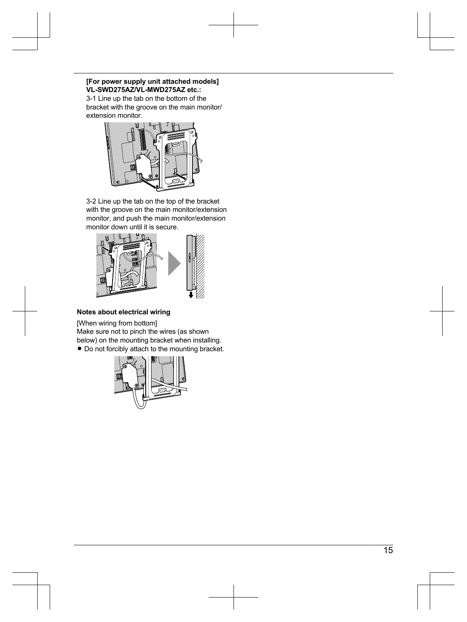#### **[For power supply unit attached models] VL-SWD275AZ/VL-MWD275AZ etc.:**

3-1 Line up the tab on the bottom of the bracket with the groove on the main monitor/ extension monitor.



3-2 Line up the tab on the top of the bracket with the groove on the main monitor/extension monitor, and push the main monitor/extension monitor down until it is secure.



#### **Notes about electrical wiring**

[When wiring from bottom] Make sure not to pinch the wires (as shown

below) on the mounting bracket when installing.

 $\bullet$  Do not forcibly attach to the mounting bracket.